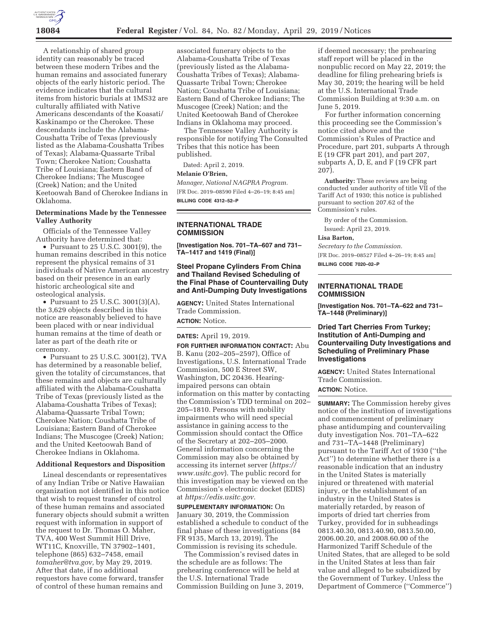

A relationship of shared group identity can reasonably be traced between these modern Tribes and the human remains and associated funerary objects of the early historic period. The evidence indicates that the cultural items from historic burials at 1MS32 are culturally affiliated with Native Americans descendants of the Koasati/ Kaskinampo or the Cherokee. These descendants include the Alabama-Coushatta Tribe of Texas (previously listed as the Alabama-Coushatta Tribes of Texas); Alabama-Quassarte Tribal Town; Cherokee Nation; Coushatta Tribe of Louisiana; Eastern Band of Cherokee Indians; The Muscogee (Creek) Nation; and the United Keetoowah Band of Cherokee Indians in Oklahoma.

## **Determinations Made by the Tennessee Valley Authority**

Officials of the Tennessee Valley Authority have determined that:

• Pursuant to 25 U.S.C. 3001(9), the human remains described in this notice represent the physical remains of 31 individuals of Native American ancestry based on their presence in an early historic archeological site and osteological analysis.

• Pursuant to  $25$  U.S.C. 3001(3)(A), the 3,629 objects described in this notice are reasonably believed to have been placed with or near individual human remains at the time of death or later as part of the death rite or ceremony.

• Pursuant to 25 U.S.C. 3001(2), TVA has determined by a reasonable belief, given the totality of circumstances, that these remains and objects are culturally affiliated with the Alabama-Coushatta Tribe of Texas (previously listed as the Alabama-Coushatta Tribes of Texas); Alabama-Quassarte Tribal Town; Cherokee Nation; Coushatta Tribe of Louisiana; Eastern Band of Cherokee Indians; The Muscogee (Creek) Nation; and the United Keetoowah Band of Cherokee Indians in Oklahoma.

### **Additional Requestors and Disposition**

Lineal descendants or representatives of any Indian Tribe or Native Hawaiian organization not identified in this notice that wish to request transfer of control of these human remains and associated funerary objects should submit a written request with information in support of the request to Dr. Thomas O. Maher, TVA, 400 West Summit Hill Drive, WT11C, Knoxville, TN 37902–1401, telephone (865) 632–7458, email *tomaher@tva.gov,* by May 29, 2019. After that date, if no additional requestors have come forward, transfer of control of these human remains and

associated funerary objects to the Alabama-Coushatta Tribe of Texas (previously listed as the Alabama-Coushatta Tribes of Texas); Alabama-Quassarte Tribal Town; Cherokee Nation; Coushatta Tribe of Louisiana; Eastern Band of Cherokee Indians; The Muscogee (Creek) Nation; and the United Keetoowah Band of Cherokee Indians in Oklahoma may proceed.

The Tennessee Valley Authority is responsible for notifying The Consulted Tribes that this notice has been published.

Dated: April 2, 2019.

### **Melanie O'Brien,**

*Manager, National NAGPRA Program.*  [FR Doc. 2019–08590 Filed 4–26–19; 8:45 am] **BILLING CODE 4312–52–P** 

### **INTERNATIONAL TRADE COMMISSION**

**[Investigation Nos. 701–TA–607 and 731– TA–1417 and 1419 (Final)]** 

## **Steel Propane Cylinders From China and Thailand Revised Scheduling of the Final Phase of Countervailing Duty and Anti-Dumping Duty Investigations**

**AGENCY:** United States International Trade Commission. **ACTION:** Notice.

## **DATES:** April 19, 2019.

**FOR FURTHER INFORMATION CONTACT:** Abu B. Kanu (202–205–2597), Office of Investigations, U.S. International Trade Commission, 500 E Street SW, Washington, DC 20436. Hearingimpaired persons can obtain information on this matter by contacting the Commission's TDD terminal on 202– 205–1810. Persons with mobility impairments who will need special assistance in gaining access to the Commission should contact the Office of the Secretary at 202–205–2000. General information concerning the Commission may also be obtained by accessing its internet server (*https:// www.usitc.gov*). The public record for this investigation may be viewed on the Commission's electronic docket (EDIS) at *https://edis.usitc.gov.* 

**SUPPLEMENTARY INFORMATION:** On January 30, 2019, the Commission established a schedule to conduct of the final phase of these investigations (84 FR 9135, March 13, 2019). The Commission is revising its schedule.

The Commission's revised dates in the schedule are as follows: The prehearing conference will be held at the U.S. International Trade Commission Building on June 3, 2019,

if deemed necessary; the prehearing staff report will be placed in the nonpublic record on May 22, 2019; the deadline for filing prehearing briefs is May 30, 2019; the hearing will be held at the U.S. International Trade Commission Building at 9:30 a.m. on June 5, 2019.

For further information concerning this proceeding see the Commission's notice cited above and the Commission's Rules of Practice and Procedure, part 201, subparts A through E (19 CFR part 201), and part 207, subparts A, D, E, and F (19 CFR part 207).

**Authority:** These reviews are being conducted under authority of title VII of the Tariff Act of 1930; this notice is published pursuant to section 207.62 of the Commission's rules.

By order of the Commission.

Issued: April 23, 2019.

**Lisa Barton,** 

*Secretary to the Commission.*  [FR Doc. 2019–08527 Filed 4–26–19; 8:45 am] **BILLING CODE 7020–02–P** 

## **INTERNATIONAL TRADE COMMISSION**

**[Investigation Nos. 701–TA–622 and 731– TA–1448 (Preliminary)]** 

**Dried Tart Cherries From Turkey; Institution of Anti-Dumping and Countervailing Duty Investigations and Scheduling of Preliminary Phase Investigations** 

**AGENCY:** United States International Trade Commission.

# **ACTION:** Notice.

**SUMMARY:** The Commission hereby gives notice of the institution of investigations and commencement of preliminary phase antidumping and countervailing duty investigation Nos. 701–TA–622 and 731–TA–1448 (Preliminary) pursuant to the Tariff Act of 1930 (''the Act'') to determine whether there is a reasonable indication that an industry in the United States is materially injured or threatened with material injury, or the establishment of an industry in the United States is materially retarded, by reason of imports of dried tart cherries from Turkey, provided for in subheadings 0813.40.30, 0813.40.90, 0813.50.00, 2006.00.20, and 2008.60.00 of the Harmonized Tariff Schedule of the United States, that are alleged to be sold in the United States at less than fair value and alleged to be subsidized by the Government of Turkey. Unless the Department of Commerce (''Commerce'')